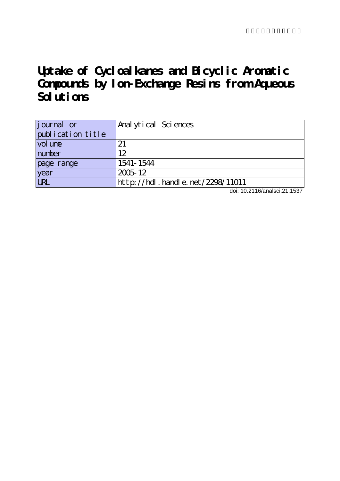# **Uptake of Cycloalkanes and Bicyclic Aromatic Compounds by Ion-Exchange Resins from Aqueous** Solutions

| journal or        | Anal ytical Sciences                  |
|-------------------|---------------------------------------|
| publication title |                                       |
| vol une           | 21                                    |
| number            | 12                                    |
| page range        | 1541-1544                             |
| year              | 2005-12                               |
| URL               | $http$ ://hdl. handle. net/2298/11011 |

doi: 10.2116/analsci.21.1537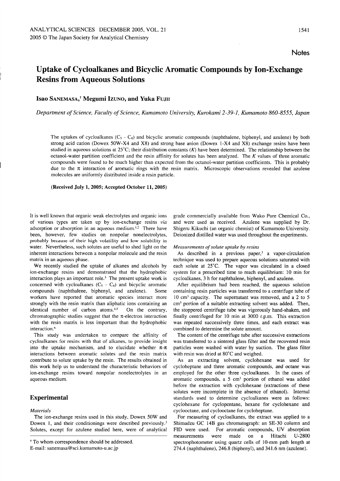# Uptake of Cycloalkanes and Bicyclic Aromatic Compounds by Ion-Exchange Resins from Aqueous Solutions

# Isao SANEMASA,<sup>†</sup> Megumi Izuno, and Yuka Fujin

Department of Science, Faculty of Science, Kumamoto University, Kurokami 2-39-1, Kumamoto 860-8555, Japan

The uptakes of cycloalkanes  $(C_5 - C_8)$  and bicyclic aromatic compounds (naphthalene, biphenyl, and azulene) by both strong acid cation (Dowex 50W-X4 and X8) and strong base anion (Dowex 1-X4 and X8) exchange resins have been studied in aqueous solutions at  $25^{\circ}$ C; their distribution constants  $(K)$  have been determined. The relationship between the octanol-water partition coefficient and the resin affinity for solutes has been analyzed. The  $K$  values of three aromatic compounds were found to be much higher than expected from the octanol-water partition coefficients. This is probably due to the  $\pi$  interaction of aromatic rings with the resin matrix. Microscopic observations revealed that azulene molecules are uniformly distributed inside a resin particle.

#### (Received July 1, 2005; Accepted October 11, 2005)

It is well known that organic weak electrolytes and organic ions of various types are taken up by ion-exchange resins via adsorption or absorption in an aqueous medium.<sup>1,2</sup> There have been, however, few studies on nonpolar nonelectrolytes, probably because of their high volatility and low solubility in water. Nevertheless, such solutes are useful to shed light on the inherent interactions between a nonpolar molecule and the resin matrix in an aqueous phase.

We recently studied the uptake of alkanes and alcohols by ion-exchange resins and demonstrated that the hydrophobic interaction plays an important role.3 The present uptake work is concerned with cycloalkanes  $(C_5 - C_8)$  and bicyclic aromatic compounds (naphthalene, biphenyl, and azulene). Some workers have reported that aromatic species interact more strongly with the resin matrix than aliphatic ions containing an identical number of carbon atoms.<sup>4,5</sup> On the contrary, chromatographic studies suggest that the  $\pi$ -electron interaction with the resin matrix is less important than the hydrophobic interaction.<sup>6</sup>

This study was undertaken to compare the affinity of cycloalkanes for resins with that of alkanes, to provide insight into the uptake mechanism, and to elucidate whether  $\pi$ - $\pi$ interactions between aromatic solutes and the resin matrix contribute to solute uptake by the resin. The results obtained in this work help us to understand the characteristic behaviors of ion-exchange resins toward nonpolar nonelectrolytes in an aqueous medium.

# Experimental

### Materials

The ion-exchange resins used in this study, Dowex 50W and Dowex 1, and their conditionings were described previously.<sup>3</sup> Solutes, except for azulene studied here, were of analytical

E-mail: sanemasa@sci.kumamoto-u.ac.jp

grade commercially available from Wako Pure Chemical Co., and were used as received. Azulene was supplied by Dr. Shigeru Kikuchi (an organic chemist) of Kumamoto University. Deionized distilled water was used throughout the experiments.

#### Measurements of solute uptake by resins

As described in a previous paper, $3$  a vapor-circulation technique was used to prepare aqueous solutions saturated with each solute at 25°C. The vapor was circulated in a closed system for a prescribed time to reach equilibrium: 10 min for cycloalkanes, 3 h for naphthalene, biphenyl, and azulene.

After equilibrium had been reached, the aqueous solution containing resin particles was transferred to a centrifuge tube of  $10 \text{ cm}^3$  capacity. The supernatant was removed, and a 2 to 5 cm<sup>3</sup> portion of a suitable extracting solvent was added. Then, the stoppered centrifuge tube was vigorously hand-shaken, and finally centrifuged for 10 min at 3000 r.p.m. This extraction was repeated successively three times, and each extract was combined to determine the solute amount.

The content of the centrifuge tube after successive extractions was transferred to a sintered glass filter and the recovered resin particles were washed with water by suction. The glass filter with resin was dried at 80°C and weighed.

As an extracting solvent, cyclohexane was used for cycloheptane and three aromatic compounds, and octane was employed for the other three cycloalkanes. In the cases of aromatic compounds, a  $5 \text{ cm}^3$  portion of ethanol was added before the extraction with cyclohexane (extractions of these solutes were incomplete in the absence of ethanol). Internal standards used to determine cycloalkanes were as follows: cyclohexane for cyclopentane, hexane for cyclohexane and cyclooctane, and cyclooctane for cycloheptane.

For measuring of cycloalkanes, the extract was applied to a Shimadzu GC 14B gas chromatograph: an SE-30 column and FID were used. For aromatic compounds, UV absorption measurements were made on a Hitachi U-2800 spectrophotometer using quartz cells of 10-mm path length at 274.4 (naphthalene), 246.8 (biphenyl), and 341.6 nm (azulene).

<sup>&</sup>lt;sup>+</sup> To whom correspondence should be addressed.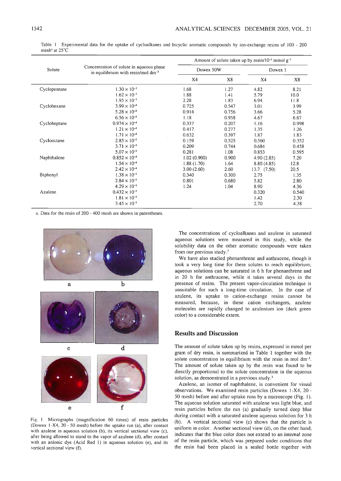|              | Concentration of solute in aqueous phase<br>in equilibrium with resin/mol $dm^{-3}$ | Amount of solute taken up by resin/10 <sup>-2</sup> mmol $g^{-1}$ |       |                 |       |  |
|--------------|-------------------------------------------------------------------------------------|-------------------------------------------------------------------|-------|-----------------|-------|--|
| Solute       |                                                                                     | Dowex 50W                                                         |       | Dowex 1         |       |  |
|              |                                                                                     | X4                                                                | X8    | X4              | X8    |  |
| Cyclopentane | $1.30 \times 10^{-3}$                                                               | 1.68                                                              | 1.27  | 4.82            | 8.21  |  |
|              | $1.62 \times 10^{-3}$                                                               | 1.88                                                              | 1.41  | 5.79            | 10.0  |  |
|              | $1.95 \times 10^{-3}$                                                               | 2.28                                                              | 1.83  | 6.94            | 11.8  |  |
| Cyclohexane  | $3.99 \times 10^{-4}$                                                               | 0.725                                                             | 0.547 | 3.01            | 3.99  |  |
|              | $5.28 \times 10^{-4}$                                                               | 0.914                                                             | 0.756 | 3.66            | 5.28  |  |
|              | $6.56 \times 10^{-4}$                                                               | 1.18                                                              | 0.958 | 4.67            | 6.67  |  |
| Cycloheptane | $0.974 \times 10^{-4}$                                                              | 0.337                                                             | 0.207 | 1.16            | 0.998 |  |
|              | $1.21 \times 10^{-4}$                                                               | 0.417                                                             | 0.277 | 1.35            | 1.26  |  |
|              | $1.71 \times 10^{-4}$                                                               | 0.632                                                             | 0.397 | 1.87            | 1.83  |  |
| Cyclooctane  | $2.85 \times 10^{-5}$                                                               | 0.159                                                             | 0.525 | 0.560           | 0.352 |  |
|              | $3.71 \times 10^{-5}$                                                               | 0.209                                                             | 0.744 | 0.684           | 0.458 |  |
|              | $5.07 \times 10^{-5}$                                                               | 0.281                                                             | 1.08  | 0.853           | 0.595 |  |
| Naphthalene  | $0.852 \times 10^{-4}$                                                              | 1.02(0.900)                                                       | 0.900 | 4.90(2.85)      | 7.20  |  |
|              | $1.54 \times 10^{-4}$                                                               | 1.88(1.70)                                                        | 1.64  | 8.80(4.85)      | 12.8  |  |
|              | $2.42 \times 10^{-4}$                                                               | 3.00(2.60)                                                        | 2.60  | $13.7$ $(7.50)$ | 20.5  |  |
| Biphenyl     | $1.38 \times 10^{-5}$                                                               | 0.340                                                             | 0.300 | 2.75            | 1.35  |  |
|              | $2.84 \times 10^{-5}$                                                               | 0.801                                                             | 0.680 | 5.82            | 2.80  |  |
|              | $4.29 \times 10^{-5}$                                                               | 1.24                                                              | 1.04  | 8.90            | 4.36  |  |
| Azulene      | $0.432 \times 10^{-5}$                                                              |                                                                   |       | 0.320           | 0.540 |  |
|              | $1.81 \times 10^{-5}$                                                               |                                                                   |       | 1.42            | 2.30  |  |
|              | $3.45 \times 10^{-5}$                                                               |                                                                   |       | 2.70            | 4.38  |  |

Table 1 Experimental data for the uptake of cycloalkanes and bicyclic aromatic compounds by ion-exchange resins of 100 - 200 mesh<sup>a</sup> at 25°C

a. Data for the resin of 200 - 400 mesh are shown in parentheses.







Fig. 1 Micrographs (magnification 60 times) of resin particles (Dowex 1-X4,  $20 - 50$  mesh) before the uptake run (a), after contact with azulene in aqueous solution (b), its vertical sectional view (c), after being allowed to stand to the vapor of azulene (d), after contact with an anionic dye (Acid Red I) in aqueous solution (e), and its vertical sectional view (f).

The concentrations of cycloalkanes and azulene in saturated aqueous solutions were measured in this study, while the solubility data on the other aromatic compounds were taken from our previous study.7

We have also studied phenanthrene and anthracene, though it took a very long time for these solutes to reach equilibrium; aqueous solutions can be saturated in <sup>6</sup> <sup>h</sup> for phenanthrene and in 20 h for anthracene, while it takes several days in the presence of resins. The present vapor-circulation technique is unsuitable for such a long-time circulation. In the case of azulene, its uptake to cation-exchange resins cannot be measured, because, in these cation exchangers, azulene molecules are rapidly changed to azulenium ion (dark green color) to a considerable extent.

# Results and Discussion

The amount of solute taken up by resins, expressed in mmol per gram of dry resin, is summarized in Table 1 together with the solute concentration in equilibrium with the resin in mol  $dm^{-3}$ . The amount of solute taken up by the resin was found to be directly proportional to the solute concentration in the aqueous solution, as demonstrated in a previous study. $3$ 

Azulene, an isomer of naphthalene, is convenient for visual observations. We examined resin particles (Dowex I-X4, <sup>20</sup> 50 mesh) before and after uptake runs by a microscope (Fig. 1). The aqueous solution saturated with azulene was light blue, and resin particles before the run (a) gradually turned deep blue during contact with a saturated azulene aqueous solution for 3 h (b). A vertical sectional view (c) shows that the particle is uniform in color. Another sectional view (d), on the other hand, indicates that the blue color does not extend to an internal zone of the resin particle, which was prepared under conditions that the resin had been placed in a sealed bottle together with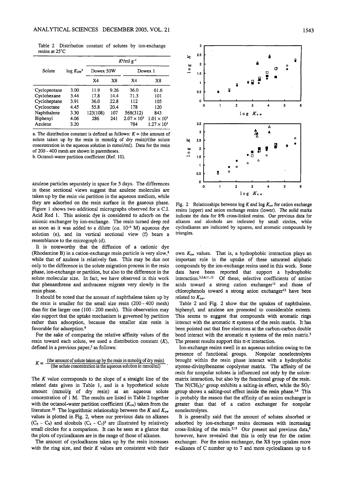Table 2 Distribution constant of solutes by ion-exchange resins at 25°C

|              | $log K_{\rm cw}$ <sup>b</sup> | $K^u$ /ml g <sup>-1</sup> |             |                      |                      |  |
|--------------|-------------------------------|---------------------------|-------------|----------------------|----------------------|--|
| Solute       |                               | Dowex 50W                 |             | Dowex 1              |                      |  |
|              |                               | X4                        | $_{\rm X8}$ | X4                   | X8                   |  |
| Cyclopentane | 3.00                          | 11.9                      | 9.26        | 36.0                 | 61.6                 |  |
| Cyclohexane  | 3.44                          | 17.8                      | 14.4        | 71.3                 | 101                  |  |
| Cycloheptane | 3.91                          | 36.0                      | 22.8        | 112                  | 105                  |  |
| Cyclooctane  | 4.45                          | 55.8                      | 20.4        | 178                  | 120                  |  |
| Naphthalene  | 3.30                          | 123(108)                  | 107         | 568(312)             | 843                  |  |
| Biphenyl     | 4.06                          | 286                       | 241         | $2.07 \times 10^{3}$ | $1.01 \times 10^{3}$ |  |
| Azulene      | 3.20                          |                           |             | 784                  | $1.27 \times 10^{3}$ |  |

a. The distribution constant is defined as follows:  $K =$  (the amount of solute taken up by the resin in mmol/g of dry resin)/(the solute concentration in the aqueous solution in mmol/ml). Data for the resin of 200 400 mesh are shown in parentheses.

b. Octanol-water partition coefficient (Ref. 10).

azulene particles separately in space for 5 days. The differences in these sectional views suggest that azulene molecules are taken up by the resin via partition in the aqueous medium, while they are adsorbed on the resin surface in the gaseous phase. Figure 1 shows two additional micrographs observed for a C.I. Acid Red 1. This anionic dye is considered to adsorb on the anionic exchanger by ion-exchange. The resin turned deep red as soon as it was added to a dilute (ca.  $10^{-5}$  M) aqueous dye solution (e), and its vertical sectional view (f) bears a resemblance to the micrograph (d).

It is noteworthy that the diffusion of a cationic dye (Rhodamine B) in a cation-exchange resin particle is very slow, $8$ while that of azulene is relatively fast. This may be due not only to the difference in the solute migration process in the resin phase, ion-exchange or partition, but also to the difference in the solute molecular size. In fact, we have observed in this work that phenanthrene and anthracene migrate very slowly in the resin phase.

It should be noted that the amount of naphthalene taken up by the resin is smaller for the small size resin (200-400 mesh) than for the larger one (100 - 200 mesh). This observation may also support that the uptake mechanism is governed by partition rather than adsorption, because the smaller size resin is favorable for adsorption.9

For the sake of comparing the relative affinity values of the resin toward each solute, we used a distribution constant  $(K)$ , defined in a previous paper, $3$  as follows:

# $K = \frac{(\text{the amount of solute taken up by the resin in mmol/g of dry resin})}{\sqrt{\text{the adult strain}}$ (the solute concentration in the aqueous solution in mmol/ml)

The  $K$  value corresponds to the slope of a straight line of the related data given in Table 1, and is a hypothetical solute amount (mmol/g of dry resin) at an aqueous solute concentration of  $1$  M. The results are listed in Table 2 together with the octanol-water partition coefficient  $(K<sub>ow</sub>)$  taken from the literature.<sup>10</sup> The logarithmic relationship between the K and  $K_{ow}$ values is plotted in Fig. 2, where our previous data on alkanes  $(C_5 - C_9)$  and alcohols  $(C_4 - C_7)^3$  are illustrated by relatively small circles for a comparison. It can be seen at a glance that the plots of cycloalkanes are in the range of those of alkanes.

The amount of cycloalkanes taken up by the resin increases with the ring size, and their  $K$  values are consistent with their



Fig. 2 Relationships between log K and log  $K_{ow}$  for cation exchange resins (upper) and anion exchange resins (lower). The solid marks indicate the data for 8% cross-linked resins. Our previous data for alkanes and alcohols are indicated by small circles, while cycloalkanes are indicated by squares, and aromatic compounds by triangles.

own  $K_{\text{ow}}$  values. That is, a hydrophobic interaction plays an important role in the uptake of these saturated aliphatic compounds by the ion-exchange resins used in this work. Some data have been reported that support a hydrophobic interaction.<sup>3,5,6,11,12</sup> Of these, selective coefficients of amino acids toward a strong cation exchanger<sup>11</sup> and those of chlorophenols toward a strong anion exchanger<sup>12</sup> have been related to  $K_{\text{ow}}$ .

Table 2 and Fig. 2 show that the uptakes of naphthalene, biphenyl, and azulene are promoted to considerable extents. This seems to suggest that compounds with aromatic rings interact with the aromatic  $\pi$  systems of the resin matrix. It has been pointed out that free electrons at the carbon-carbon double bond interact with the aromatic  $\pi$  systems of the resin matrix.<sup>5</sup> The present results support this  $\pi$ - $\pi$  interaction.

Ion-exchange resins swell in an aqueous solution owing to the presence of functional groups. Nonpolar nonelectrolytes brought within the resin phase interact with a hydrophobic styrene-divinylbenzene copolymer matrix. The affinity of the resin for nonpolar solutes is influenced not only by the solutematrix interaction, but also by the functional group of the resin. The  $N(CH_3)_3$ <sup>+</sup> group exhibits a salting-in effect, while the  $SO_3$ <sup>-</sup> group shows a salting-out effect inside the resin phase.<sup>3,6</sup> This is probably the reason that the affinity of an anion exchanger is greater than that of a cation exchanger for nonpolar nonelectrolytes.

It is generally said that the amount of solutes absorbed or adsorbed by ion-exchange resins decreases with increasing cross-linking of the resin.<sup>2,13</sup> Our present and previous data,<sup>3</sup> however, have revealed that this is only true for the cation exchanger. For the anion exchanger, the X8 type uptakes more  $n$ -alkanes of C number up to 7 and more cycloalkanes up to 6